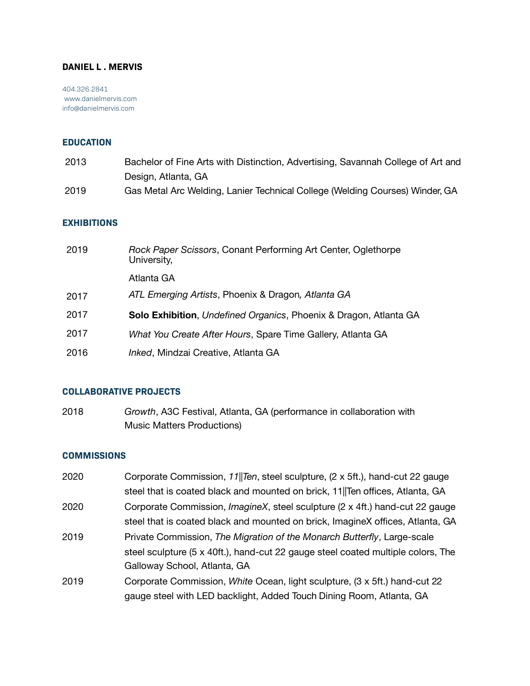## **DANIEL L . MERVIS**

404.326.2841  [www.danielmervis.com](http://www.danielmervis.com/)  [info@danielmervis.com](mailto:info@danielmervis.com)

### **EDUCATION**

| 2013 | Bachelor of Fine Arts with Distinction, Advertising, Savannah College of Art and |
|------|----------------------------------------------------------------------------------|
|      | Design, Atlanta, GA                                                              |
| 2019 | Gas Metal Arc Welding, Lanier Technical College (Welding Courses) Winder, GA     |

#### **EXHIBITIONS**

| 2019 | Rock Paper Scissors, Conant Performing Art Center, Oglethorpe<br>University, |
|------|------------------------------------------------------------------------------|
|      | Atlanta GA                                                                   |
| 2017 | ATL Emerging Artists, Phoenix & Dragon, Atlanta GA                           |
| 2017 | <b>Solo Exhibition</b> , Undefined Organics, Phoenix & Dragon, Atlanta GA    |
| 2017 | What You Create After Hours, Spare Time Gallery, Atlanta GA                  |
| 2016 | Inked, Mindzai Creative, Atlanta GA                                          |

#### **COLLABORATIVE PROJECTS**

2018 *Growth*, A3C Festival, Atlanta, GA (performance in collaboration with Music Matters Productions)

#### **COMMISSIONS**

2020 Corporate Commission, *11||Ten*, steel sculpture, (2 x 5ft.), hand-cut 22 gauge steel that is coated black and mounted on brick, 11||Ten offices, Atlanta, GA 2020 Corporate Commission, *ImagineX*, steel sculpture (2 x 4ft.) hand-cut 22 gauge steel that is coated black and mounted on brick, ImagineX offices, Atlanta, GA 2019 Private Commission, *The Migration of the Monarch Butterfly*, Large-scale steel sculpture (5 x 40ft.), hand-cut 22 gauge steel coated multiple colors, The Galloway School, Atlanta, GA 2019 Corporate Commission, *White* Ocean, light sculpture, (3 x 5ft.) hand-cut 22 gauge steel with LED backlight, Added Touch Dining Room, Atlanta, GA